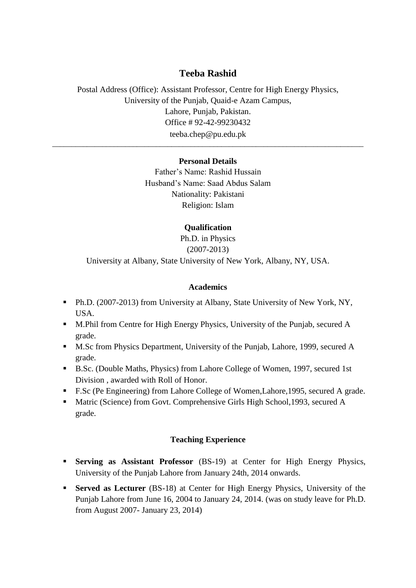# **Teeba Rashid**

Postal Address (Office): Assistant Professor, Centre for High Energy Physics, University of the Punjab, Quaid-e Azam Campus, Lahore, Punjab, Pakistan. Office # 92-42-99230432 teeba.chep@pu.edu.pk

### **Personal Details**

\_\_\_\_\_\_\_\_\_\_\_\_\_\_\_\_\_\_\_\_\_\_\_\_\_\_\_\_\_\_\_\_\_\_\_\_\_\_\_\_\_\_\_\_\_\_\_\_\_\_\_\_\_\_\_\_\_\_\_\_\_\_\_\_\_\_\_\_\_\_\_\_\_\_\_\_\_\_\_\_\_

Father's Name: Rashid Hussain Husband's Name: Saad Abdus Salam Nationality: Pakistani Religion: Islam

### **Qualification**

Ph.D. in Physics (2007-2013)

University at Albany, State University of New York, Albany, NY, USA.

### **Academics**

- Ph.D. (2007-2013) from University at Albany, State University of New York, NY, USA.
- **M.Phil from Centre for High Energy Physics, University of the Punjab, secured A** grade.
- **M.Sc from Physics Department, University of the Punjab, Lahore, 1999, secured A** grade.
- B.Sc. (Double Maths, Physics) from Lahore College of Women, 1997, secured 1st Division , awarded with Roll of Honor.
- F.Sc (Pe Engineering) from Lahore College of Women,Lahore,1995, secured A grade.
- Matric (Science) from Govt. Comprehensive Girls High School, 1993, secured A grade.

### **Teaching Experience**

- **Serving as Assistant Professor** (BS-19) at Center for High Energy Physics, University of the Punjab Lahore from January 24th, 2014 onwards.
- **Served as Lecturer** (BS-18) at Center for High Energy Physics, University of the Punjab Lahore from June 16, 2004 to January 24, 2014. (was on study leave for Ph.D. from August 2007- January 23, 2014)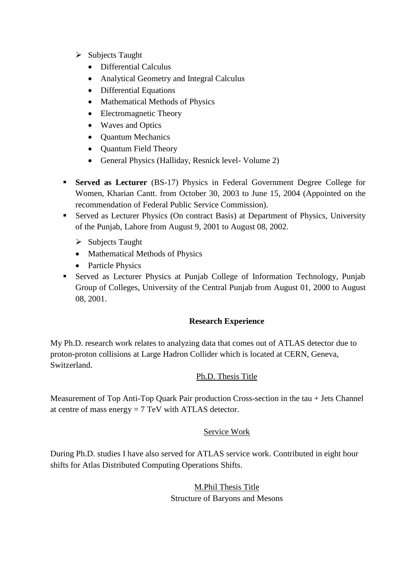- $\triangleright$  Subjects Taught
	- Differential Calculus
	- Analytical Geometry and Integral Calculus
	- Differential Equations
	- Mathematical Methods of Physics
	- Electromagnetic Theory
	- Waves and Optics
	- Ouantum Mechanics
	- Quantum Field Theory
	- General Physics (Halliday, Resnick level- Volume 2)
- **Served as Lecturer** (BS-17) Physics in Federal Government Degree College for Women, Kharian Cantt. from October 30, 2003 to June 15, 2004 (Appointed on the recommendation of Federal Public Service Commission).
- Served as Lecturer Physics (On contract Basis) at Department of Physics, University of the Punjab, Lahore from August 9, 2001 to August 08, 2002.
	- $\triangleright$  Subjects Taught
	- Mathematical Methods of Physics
	- Particle Physics
- Served as Lecturer Physics at Punjab College of Information Technology, Punjab Group of Colleges, University of the Central Punjab from August 01, 2000 to August 08, 2001.

## **Research Experience**

My Ph.D. research work relates to analyzing data that comes out of ATLAS detector due to proton-proton collisions at Large Hadron Collider which is located at CERN, Geneva, Switzerland.

### Ph.D. Thesis Title

Measurement of Top Anti-Top Quark Pair production Cross-section in the tau + Jets Channel at centre of mass energy = 7 TeV with ATLAS detector.

### Service Work

During Ph.D. studies I have also served for ATLAS service work. Contributed in eight hour shifts for Atlas Distributed Computing Operations Shifts.

> M.Phil Thesis Title Structure of Baryons and Mesons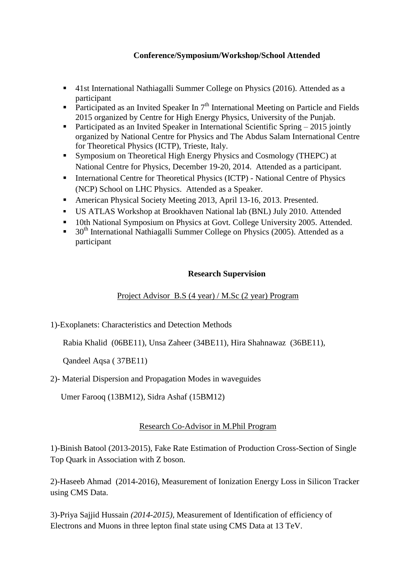# **Conference/Symposium/Workshop/School Attended**

- 41st International Nathiagalli Summer College on Physics (2016). Attended as a participant
- Participated as an Invited Speaker In  $7<sup>th</sup>$  International Meeting on Particle and Fields 2015 organized by Centre for High Energy Physics, University of the Punjab.
- **Participated as an Invited Speaker in International Scientific Spring 2015 jointly** organized by National Centre for Physics and The Abdus Salam International Centre for Theoretical Physics (ICTP), Trieste, Italy.
- Symposium on Theoretical High Energy Physics and Cosmology (THEPC) at National Centre for Physics, December 19-20, 2014. Attended as a participant.
- International Centre for Theoretical Physics (ICTP) National Centre of Physics (NCP) School on LHC Physics. Attended as a Speaker.
- American Physical Society Meeting 2013, April 13-16, 2013. Presented.
- US ATLAS Workshop at Brookhaven National lab (BNL) July 2010. Attended
- 10th National Symposium on Physics at Govt. College University 2005. Attended.
- 30th International Nathiagalli Summer College on Physics (2005). Attended as a participant

### **Research Supervision**

## Project Advisor B.S (4 year) / M.Sc (2 year) Program

1)-Exoplanets: Characteristics and Detection Methods

Rabia Khalid (06BE11), Unsa Zaheer (34BE11), Hira Shahnawaz (36BE11),

Qandeel Aqsa ( 37BE11)

2)- Material Dispersion and Propagation Modes in waveguides

Umer Farooq (13BM12), Sidra Ashaf (15BM12)

## Research Co-Advisor in M.Phil Program

1)-Binish Batool (2013-2015), Fake Rate Estimation of Production Cross-Section of Single Top Quark in Association with Z boson*.*

2)-Haseeb Ahmad (2014-2016), Measurement of Ionization Energy Loss in Silicon Tracker using CMS Data.

3)-Priya Sajjid Hussain *(2014-2015),* Measurement of Identification of efficiency of Electrons and Muons in three lepton final state using CMS Data at 13 TeV.